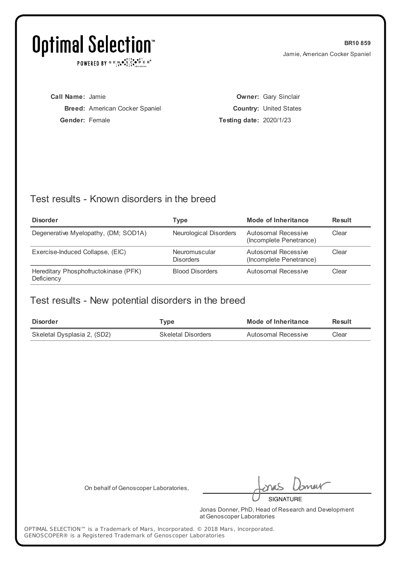POWERED BY  $G \in N_{\bullet} \bullet_{\bullet}^{\dagger} \mathbb{I}_{\bullet}^{\dagger} \bullet_{\mathbf{P}}^{\dagger} \mathbb{E} \mathbb{R}^{\circ}$ 

**BR10 859** Jamie, American Cocker Spaniel

**Call Name:** Jamie **Breed:** American Cocker Spaniel **Gender:** Female

**Owner:** Gary Sinclair **Country:** United States **Testing date:** 2020/1/23

### Test results - Known disorders in the breed

| <b>Disorder</b>                                    | Type                              | <b>Mode of Inheritance</b>                     | <b>Result</b> |
|----------------------------------------------------|-----------------------------------|------------------------------------------------|---------------|
| Degenerative Myelopathy, (DM; SOD1A)               | <b>Neurological Disorders</b>     | Autosomal Recessive<br>(Incomplete Penetrance) | Clear         |
| Exercise-Induced Collapse, (EIC)                   | Neuromuscular<br><b>Disorders</b> | Autosomal Recessive<br>(Incomplete Penetrance) | Clear         |
| Hereditary Phosphofructokinase (PFK)<br>Deficiency | <b>Blood Disorders</b>            | Autosomal Recessive                            | Clear         |

### Test results - New potential disorders in the breed

| <b>Disorder</b>             | Type                      | Mode of Inheritance | Result |
|-----------------------------|---------------------------|---------------------|--------|
| Skeletal Dysplasia 2, (SD2) | <b>Skeletal Disorders</b> | Autosomal Recessive | Clear  |

On behalf of Genoscoper Laboratories,

neit **SIGNATURE** 

Jonas Donner, PhD, Head of Research and Development at Genoscoper Laboratories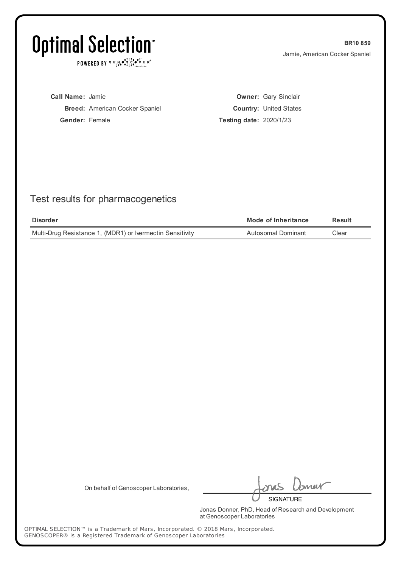POWERED BY  $G \in N_{\bullet} \bullet_{\bullet}^{\dagger} \mathbb{I}_{\bullet}^{\dagger} \bullet_{\mathbf{P}}^{\dagger} \mathbb{E} \mathbb{R}^{\circ}$ 

**BR10 859** Jamie, American Cocker Spaniel

**Call Name:** Jamie **Breed:** American Cocker Spaniel **Gender:** Female

**Owner:** Gary Sinclair **Country:** United States **Testing date:** 2020/1/23

## Test results for pharmacogenetics

| <b>Disorder</b>                                           | Mode of Inheritance | Result |
|-----------------------------------------------------------|---------------------|--------|
| Multi-Drug Resistance 1, (MDR1) or Ivermectin Sensitivity | Autosomal Dominant  | Clear  |

On behalf of Genoscoper Laboratories,

meik

**SIGNATURE** 

Jonas Donner, PhD, Head of Research and Development at Genoscoper Laboratories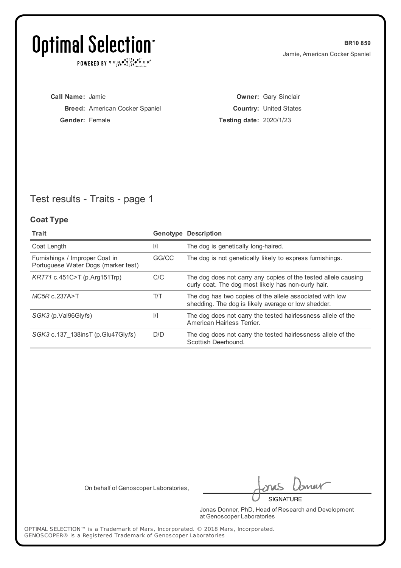POWERED BY  $G \in N_{\bullet} \bullet_{\bullet}^{\dagger} \mathbb{I}_{\bullet}^{\dagger} \bullet_{\mathbf{P}}^{\dagger} \mathbb{E} \mathbb{R}^{\circ}$ 

**BR10 859** Jamie, American Cocker Spaniel

**Call Name:** Jamie **Breed:** American Cocker Spaniel **Gender:** Female

**Owner:** Gary Sinclair **Country:** United States **Testing date:** 2020/1/23

## Test results - Traits - page 1

#### **Coat Type**

| Trait                                                                 |               | <b>Genotype Description</b>                                                                                           |
|-----------------------------------------------------------------------|---------------|-----------------------------------------------------------------------------------------------------------------------|
| Coat Length                                                           | $\frac{1}{1}$ | The dog is genetically long-haired.                                                                                   |
| Furnishings / Improper Coat in<br>Portuguese Water Dogs (marker test) | GG/CC         | The dog is not genetically likely to express furnishings.                                                             |
| KRT71 c.451C>T (p.Arg151Trp)                                          | C/C           | The dog does not carry any copies of the tested allele causing<br>curly coat. The dog most likely has non-curly hair. |
| $MC5R$ c.237A>T                                                       | T/T           | The dog has two copies of the allele associated with low<br>shedding. The dog is likely average or low shedder.       |
| SGK3 (p.Val96Glyfs)                                                   | $\frac{1}{1}$ | The dog does not carry the tested hairlessness allele of the<br>American Hairless Terrier.                            |
| SGK3 c.137 138insT (p.Glu47Glyfs)                                     | D/D           | The dog does not carry the tested hairlessness allele of the<br>Scottish Deerhound.                                   |

On behalf of Genoscoper Laboratories,

meik

**SIGNATURE** 

Jonas Donner, PhD, Head of Research and Development at Genoscoper Laboratories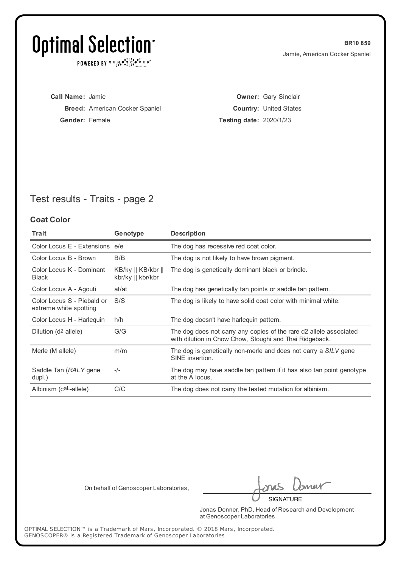POWERED BY  $G \in N_{\bullet} \bullet_{\bullet}^{\dagger} \mathbb{I}_{\bullet}^{\dagger} \bullet_{\mathbf{P}}^{\dagger} \mathbb{E} \mathbb{R}^{\circ}$ 

**BR10 859** Jamie, American Cocker Spaniel

**Call Name:** Jamie **Breed:** American Cocker Spaniel **Gender:** Female

**Owner:** Gary Sinclair **Country:** United States **Testing date:** 2020/1/23

## Test results - Traits - page 2

#### **Coat Color**

| <b>Trait</b>                                         | Genotype                                                | <b>Description</b>                                                                                                            |
|------------------------------------------------------|---------------------------------------------------------|-------------------------------------------------------------------------------------------------------------------------------|
| Color Locus E - Extensions e/e                       |                                                         | The dog has recessive red coat color.                                                                                         |
| Color Locus B - Brown                                | B/B                                                     | The dog is not likely to have brown pigment.                                                                                  |
| Color Locus K - Dominant<br><b>Black</b>             | $KB/ky \parallel KB/kbr \parallel$<br>kbr/ky    kbr/kbr | The dog is genetically dominant black or brindle.                                                                             |
| Color Locus A - Agouti                               | at/at                                                   | The dog has genetically tan points or saddle tan pattern.                                                                     |
| Color Locus S - Piebald or<br>extreme white spotting | S/S                                                     | The dog is likely to have solid coat color with minimal white.                                                                |
| Color Locus H - Harlequin                            | h/h                                                     | The dog doesn't have harleguin pattern.                                                                                       |
| Dilution (d <sup>2</sup> allele)                     | G/G                                                     | The dog does not carry any copies of the rare d2 allele associated<br>with dilution in Chow Chow, Sloughi and Thai Ridgeback. |
| Merle (M allele)                                     | m/m                                                     | The dog is genetically non-merle and does not carry a SILV gene<br>SINE insertion.                                            |
| Saddle Tan (RALY gene<br>dupl.)                      | $-/-$                                                   | The dog may have saddle tan pattern if it has also tan point genotype<br>at the A locus.                                      |
| Albinism (caL-allele)                                | C/C                                                     | The dog does not carry the tested mutation for albinism.                                                                      |

On behalf of Genoscoper Laboratories,

meik

**SIGNATURE** 

Jonas Donner, PhD, Head of Research and Development at Genoscoper Laboratories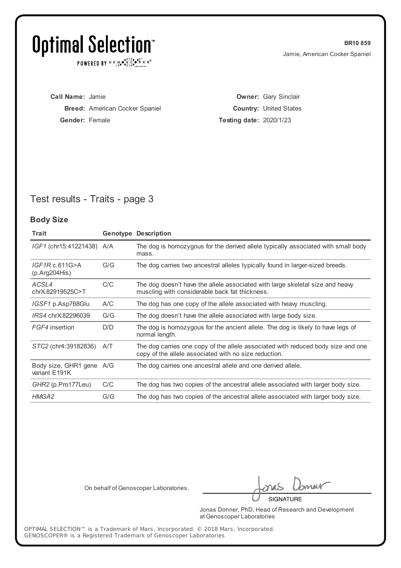POWERED BY  $G \in N_{\bullet} \bullet_{\bullet}^{\dagger} \mathbb{I}_{\bullet}^{\dagger} \bullet_{\mathbf{P}}^{\dagger} \mathbb{E} \mathbb{R}^{\circ}$ 

**BR10 859** Jamie, American Cocker Spaniel

**Call Name:** Jamie **Breed:** American Cocker Spaniel **Gender:** Female

**Owner:** Gary Sinclair **Country:** United States **Testing date:** 2020/1/23

## Test results - Traits - page 3

#### **Body Size**

| Trait                                     |     | <b>Genotype Description</b>                                                                                                               |
|-------------------------------------------|-----|-------------------------------------------------------------------------------------------------------------------------------------------|
| IGF1 (chr15:41221438) A/A                 |     | The dog is homozygous for the derived allele typically associated with small body<br>mass.                                                |
| IGF1Rc.611G>A<br>(p. Arg204His)           | G/G | The dog carries two ancestral alleles typically found in larger-sized breeds.                                                             |
| ACSL4<br>chrX.82919525C>T                 | C/C | The dog doesn't have the allele associated with large skeletal size and heavy<br>muscling with considerable back fat thickness.           |
| IGSF1 p.Asp768Glu                         | A/C | The dog has one copy of the allele associated with heavy muscling.                                                                        |
| IRS4 chrX:82296039                        | G/G | The dog doesn't have the allele associated with large body size.                                                                          |
| FGF4 insertion                            | D/D | The dog is homozygous for the ancient allele. The dog is likely to have legs of<br>normal length.                                         |
| STC2 (chr4:39182836)                      | A/T | The dog carries one copy of the allele associated with reduced body size and one<br>copy of the allele associated with no size reduction. |
| Body size, GHR1 gene A/G<br>variant E191K |     | The dog carries one ancestral allele and one derived allele.                                                                              |
| GHR2 (p.Pro177Leu)                        | C/C | The dog has two copies of the ancestral allele associated with larger body size.                                                          |
| HMGA2                                     | G/G | The dog has two copies of the ancestral allele associated with larger body size.                                                          |

On behalf of Genoscoper Laboratories,

neit **SIGNATURE** 

Jonas Donner, PhD, Head of Research and Development at Genoscoper Laboratories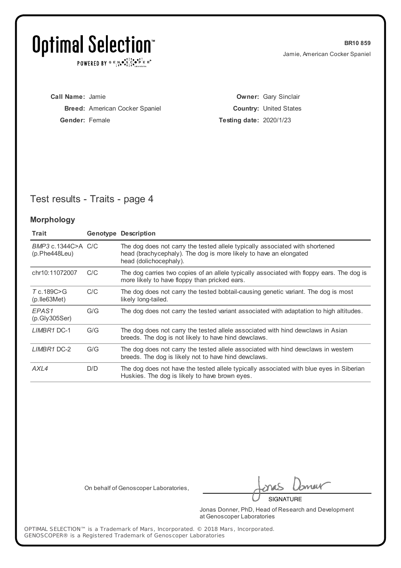POWERED BY  $G \in N \cdot S$   $C \cdot S \cdot P$   $E \cdot R$ <sup>o</sup>

**BR10 859** Jamie, American Cocker Spaniel

| <b>Call Name: Jamie</b> |                                       |
|-------------------------|---------------------------------------|
|                         | <b>Breed:</b> American Cocker Spaniel |
| <b>Gender:</b> Female   |                                       |

**Owner:** Gary Sinclair **Country:** United States **Testing date:** 2020/1/23

## Test results - Traits - page 4

#### **Morphology**

| Trait                               |     | <b>Genotype Description</b>                                                                                                                                                 |
|-------------------------------------|-----|-----------------------------------------------------------------------------------------------------------------------------------------------------------------------------|
| BMP3 c.1344C>A C/C<br>(p.Phe448Leu) |     | The dog does not carry the tested allele typically associated with shortened<br>head (brachycephaly). The dog is more likely to have an elongated<br>head (dolichocephaly). |
| chr10:11072007                      | C/C | The dog carries two copies of an allele typically associated with floppy ears. The dog is<br>more likely to have floppy than pricked ears.                                  |
| T c.189C>G<br>$(p.$ Ile 63 Met $)$  | C/C | The dog does not carry the tested bobtail-causing genetic variant. The dog is most<br>likely long-tailed.                                                                   |
| EPAS <sub>1</sub><br>(p.Gly305Ser)  | G/G | The dog does not carry the tested variant associated with adaptation to high altitudes.                                                                                     |
| LIMBR1 DC-1                         | G/G | The dog does not carry the tested allele associated with hind dewclaws in Asian<br>breeds. The dog is not likely to have hind dewclaws.                                     |
| LIMBR1 DC-2                         | G/G | The dog does not carry the tested allele associated with hind dewclaws in western<br>breeds. The dog is likely not to have hind dewclaws.                                   |
| AXL4                                | D/D | The dog does not have the tested allele typically associated with blue eyes in Siberian<br>Huskies. The dog is likely to have brown eyes.                                   |

On behalf of Genoscoper Laboratories,

neit

**SIGNATURE** 

Jonas Donner, PhD, Head of Research and Development at Genoscoper Laboratories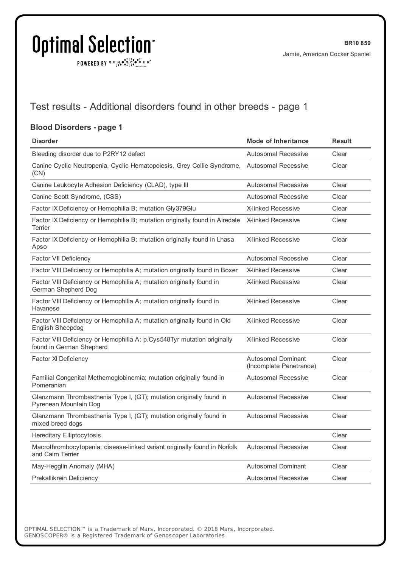POWERED BY  $G \in N_{\bullet} \bullet_{\bullet}^{\bullet} \overset{\uparrow\uparrow}{\underset{\scriptscriptstyle{\sim}{\bullet}}{\bullet}} \overset{\bullet\bullet}{\underset{\scriptscriptstyle{\sim}{\bullet}}{\bullet}}^\uparrow \overset{\uparrow\bullet}{\underset{\scriptscriptstyle{\sim}{\bullet}}{\bullet}} \overset{\uparrow\bullet}{\underset{\scriptscriptstyle{\sim}{\bullet}}{\bullet}}^\uparrow \overset{\scriptscriptstyle{\sim}}{\underset{\scriptscriptstyle{\sim}{\bullet}}{\bullet}} \mathbb{R}^\circ$ 

## Test results - Additional disorders found in other breeds - page 1

#### **Blood Disorders - page 1**

| <b>Disorder</b>                                                                                     | <b>Mode of Inheritance</b>                           | <b>Result</b> |
|-----------------------------------------------------------------------------------------------------|------------------------------------------------------|---------------|
| Bleeding disorder due to P2RY12 defect                                                              | <b>Autosomal Recessive</b>                           | Clear         |
| Canine Cyclic Neutropenia, Cyclic Hematopoiesis, Grey Collie Syndrome,<br>(CN)                      | <b>Autosomal Recessive</b>                           | Clear         |
| Canine Leukocyte Adhesion Deficiency (CLAD), type III                                               | <b>Autosomal Recessive</b>                           | Clear         |
| Canine Scott Syndrome, (CSS)                                                                        | <b>Autosomal Recessive</b>                           | Clear         |
| Factor IX Deficiency or Hemophilia B; mutation Gly379Glu                                            | <b>X-linked Recessive</b>                            | Clear         |
| Factor IX Deficiency or Hemophilia B; mutation originally found in Airedale<br>Terrier              | X-linked Recessive                                   | Clear         |
| Factor IX Deficiency or Hemophilia B; mutation originally found in Lhasa<br>Apso                    | <b>X-linked Recessive</b>                            | Clear         |
| <b>Factor VII Deficiency</b>                                                                        | <b>Autosomal Recessive</b>                           | Clear         |
| Factor VIII Deficiency or Hemophilia A; mutation originally found in Boxer                          | <b>X-linked Recessive</b>                            | Clear         |
| Factor VIII Deficiency or Hemophilia A; mutation originally found in<br>German Shepherd Dog         | <b>X-linked Recessive</b>                            | Clear         |
| Factor VIII Deficiency or Hemophilia A; mutation originally found in<br>Havanese                    | <b>X-linked Recessive</b>                            | Clear         |
| Factor VIII Deficiency or Hemophilia A; mutation originally found in Old<br>English Sheepdog        | <b>X-linked Recessive</b>                            | Clear         |
| Factor VIII Deficiency or Hemophilia A; p.Cys548Tyr mutation originally<br>found in German Shepherd | <b>X-linked Recessive</b>                            | Clear         |
| Factor XI Deficiency                                                                                | <b>Autosomal Dominant</b><br>(Incomplete Penetrance) | Clear         |
| Familial Congenital Methemoglobinemia; mutation originally found in<br>Pomeranian                   | <b>Autosomal Recessive</b>                           | Clear         |
| Glanzmann Thrombasthenia Type I, (GT); mutation originally found in<br>Pyrenean Mountain Dog        | <b>Autosomal Recessive</b>                           | Clear         |
| Glanzmann Thrombasthenia Type I, (GT); mutation originally found in<br>mixed breed dogs             | <b>Autosomal Recessive</b>                           | Clear         |
| <b>Hereditary Elliptocytosis</b>                                                                    |                                                      | Clear         |
| Macrothrombocytopenia; disease-linked variant originally found in Norfolk<br>and Cairn Terrier      | <b>Autosomal Recessive</b>                           | Clear         |
| May-Hegglin Anomaly (MHA)                                                                           | Autosomal Dominant                                   | Clear         |
| Prekallikrein Deficiency                                                                            | Autosomal Recessive                                  | Clear         |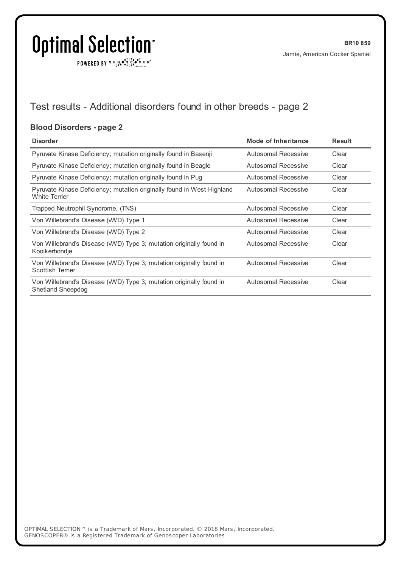$\texttt{POWERED BY} \xrightarrow{\mathbf{c}} \mathbb{I} \underset{\mathbf{a}}{\overset{\mathbf{r}}{\mathbf{a}}} \overset{\mathbf{r}}{\overset{\mathbf{r}}{\mathbf{s}}} \underset{\mathbf{a}}{\overset{\mathbf{r}}{\mathbf{a}}} \overset{\mathbf{r}}{\overset{\mathbf{r}}{\mathbf{s}}} \overset{\mathbf{r}}{\overset{\mathbf{r}}{\mathbf{s}}} \overset{\mathbf{r}}{\overset{\mathbf{r}}{\mathbf{s}}} \overset{\mathbf{r}}{\overset{\mathbf{r}}{\mathbf{s}}} \overset{\mathbf{r}}{\overset{\mathbf{r}}{\mathbf{s}}} \overset{\mathbf{r}}$ 

## Test results - Additional disorders found in other breeds - page 2

#### **Blood Disorders - page 2**

| <b>Disorder</b>                                                                                 | Mode of Inheritance | <b>Result</b> |
|-------------------------------------------------------------------------------------------------|---------------------|---------------|
| Pyruvate Kinase Deficiency; mutation originally found in Basenji                                | Autosomal Recessive | Clear         |
| Pyruvate Kinase Deficiency; mutation originally found in Beagle                                 | Autosomal Recessive | Clear         |
| Pyruvate Kinase Deficiency; mutation originally found in Pug                                    | Autosomal Recessive | Clear         |
| Pyruvate Kinase Deficiency; mutation originally found in West Highland<br><b>White Terrier</b>  | Autosomal Recessive | Clear         |
| Trapped Neutrophil Syndrome, (TNS)                                                              | Autosomal Recessive | Clear         |
| Von Willebrand's Disease (WVD) Type 1                                                           | Autosomal Recessive | Clear         |
| Von Willebrand's Disease (WVD) Type 2                                                           | Autosomal Recessive | Clear         |
| Von Willebrand's Disease (WVD) Type 3; mutation originally found in<br>Kooikerhondje            | Autosomal Recessive | Clear         |
| Von Willebrand's Disease (WVD) Type 3; mutation originally found in<br><b>Scottish Terrier</b>  | Autosomal Recessive | Clear         |
| Von Willebrand's Disease (WVD) Type 3; mutation originally found in<br><b>Shetland Sheepdog</b> | Autosomal Recessive | Clear         |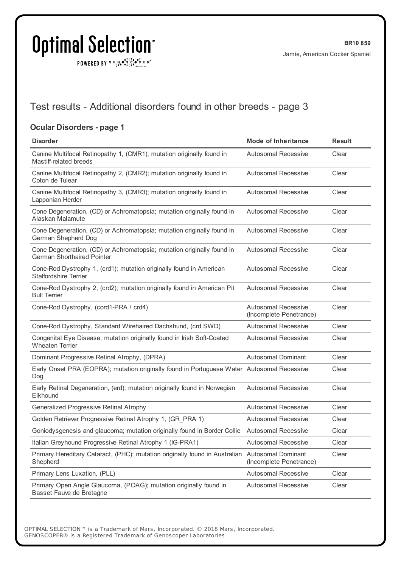POWERED BY  $G \in N_{\bullet} \bullet_{\bullet}^{\bullet}$ 

## Test results - Additional disorders found in other breeds - page 3

#### **Ocular Disorders - page 1**

| <b>Disorder</b>                                                                                             | <b>Mode of Inheritance</b>                            | <b>Result</b> |
|-------------------------------------------------------------------------------------------------------------|-------------------------------------------------------|---------------|
| Canine Multifocal Retinopathy 1, (CMR1); mutation originally found in<br>Mastiff-related breeds             | <b>Autosomal Recessive</b>                            | Clear         |
| Canine Multifocal Retinopathy 2, (CMR2); mutation originally found in<br>Coton de Tulear                    | <b>Autosomal Recessive</b>                            | Clear         |
| Canine Multifocal Retinopathy 3, (CMR3); mutation originally found in<br>Lapponian Herder                   | <b>Autosomal Recessive</b>                            | Clear         |
| Cone Degeneration, (CD) or Achromatopsia; mutation originally found in<br>Alaskan Malamute                  | <b>Autosomal Recessive</b>                            | Clear         |
| Cone Degeneration, (CD) or Achromatopsia; mutation originally found in<br>German Shepherd Dog               | <b>Autosomal Recessive</b>                            | Clear         |
| Cone Degeneration, (CD) or Achromatopsia; mutation originally found in<br><b>German Shorthaired Pointer</b> | <b>Autosomal Recessive</b>                            | Clear         |
| Cone-Rod Dystrophy 1, (crd1); mutation originally found in American<br><b>Staffordshire Terrier</b>         | <b>Autosomal Recessive</b>                            | Clear         |
| Cone-Rod Dystrophy 2, (crd2); mutation originally found in American Pit<br><b>Bull Terrier</b>              | <b>Autosomal Recessive</b>                            | Clear         |
| Cone-Rod Dystrophy, (cord1-PRA / crd4)                                                                      | <b>Autosomal Recessive</b><br>(Incomplete Penetrance) | Clear         |
| Cone-Rod Dystrophy, Standard Wirehaired Dachshund, (crd SWD)                                                | <b>Autosomal Recessive</b>                            | Clear         |
| Congenital Eye Disease; mutation originally found in Irish Soft-Coated<br><b>Wheaten Terrier</b>            | <b>Autosomal Recessive</b>                            | Clear         |
| Dominant Progressive Retinal Atrophy, (DPRA)                                                                | <b>Autosomal Dominant</b>                             | Clear         |
| Early Onset PRA (EOPRA); mutation originally found in Portuguese Water Autosomal Recessive<br>Dog           |                                                       | Clear         |
| Early Retinal Degeneration, (erd); mutation originally found in Norwegian<br>Elkhound                       | <b>Autosomal Recessive</b>                            | Clear         |
| Generalized Progressive Retinal Atrophy                                                                     | <b>Autosomal Recessive</b>                            | Clear         |
| Golden Retriever Progressive Retinal Atrophy 1, (GR_PRA 1)                                                  | Autosomal Recessive                                   | Clear         |
| Goniodysgenesis and glaucoma; mutation originally found in Border Collie                                    | <b>Autosomal Recessive</b>                            | Clear         |
| Italian Greyhound Progressive Retinal Atrophy 1 (IG-PRA1)                                                   | <b>Autosomal Recessive</b>                            | Clear         |
| Primary Hereditary Cataract, (PHC); mutation originally found in Australian<br>Shepherd                     | <b>Autosomal Dominant</b><br>(Incomplete Penetrance)  | Clear         |
| Primary Lens Luxation, (PLL)                                                                                | Autosomal Recessive                                   | Clear         |
| Primary Open Angle Glaucoma, (POAG); mutation originally found in<br>Basset Fauve de Bretagne               | Autosomal Recessive                                   | Clear         |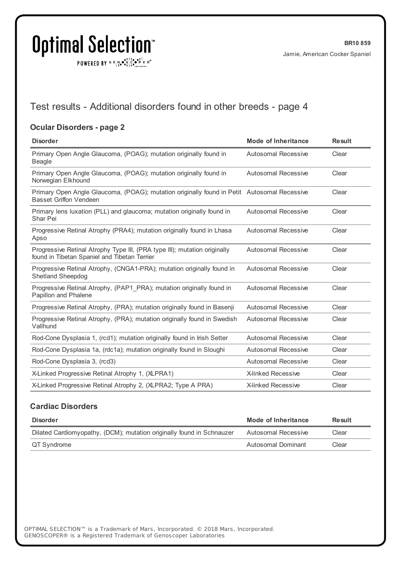$\texttt{POWERED BY} \xrightarrow{\mathbf{c}} \mathbb{I} \underset{\mathbf{a}}{\overset{\mathbf{r}}{\mathbf{a}}} \overset{\mathbf{r}}{\overset{\mathbf{r}}{\mathbf{s}}} \underset{\mathbf{a}}{\overset{\mathbf{r}}{\mathbf{a}}} \overset{\mathbf{r}}{\overset{\mathbf{r}}{\mathbf{s}}} \overset{\mathbf{r}}{\overset{\mathbf{r}}{\mathbf{s}}} \overset{\mathbf{r}}{\overset{\mathbf{r}}{\mathbf{s}}} \overset{\mathbf{r}}{\overset{\mathbf{r}}{\mathbf{s}}} \overset{\mathbf{r}}{\overset{\mathbf{r}}{\mathbf{s}}} \overset{\mathbf{r}}$ 

## Test results - Additional disorders found in other breeds - page 4

#### **Ocular Disorders - page 2**

| <b>Disorder</b>                                                                                                              | <b>Mode of Inheritance</b> | <b>Result</b> |
|------------------------------------------------------------------------------------------------------------------------------|----------------------------|---------------|
| Primary Open Angle Glaucoma, (POAG); mutation originally found in<br>Beagle                                                  | <b>Autosomal Recessive</b> | Clear         |
| Primary Open Angle Glaucoma, (POAG); mutation originally found in<br>Norwegian Elkhound                                      | Autosomal Recessive        | Clear         |
| Primary Open Angle Glaucoma, (POAG); mutation originally found in Petit Autosomal Recessive<br><b>Basset Griffon Vendeen</b> |                            | Clear         |
| Primary lens luxation (PLL) and glaucoma; mutation originally found in<br>Shar Pei                                           | <b>Autosomal Recessive</b> | Clear         |
| Progressive Retinal Atrophy (PRA4); mutation originally found in Lhasa<br>Apso                                               | Autosomal Recessive        | Clear         |
| Progressive Retinal Atrophy Type III, (PRA type III); mutation originally<br>found in Tibetan Spaniel and Tibetan Terrier    | <b>Autosomal Recessive</b> | Clear         |
| Progressive Retinal Atrophy, (CNGA1-PRA); mutation originally found in<br><b>Shetland Sheepdog</b>                           | Autosomal Recessive        | Clear         |
| Progressive Retinal Atrophy, (PAP1 PRA); mutation originally found in<br>Papillon and Phalene                                | Autosomal Recessive        | Clear         |
| Progressive Retinal Atrophy, (PRA); mutation originally found in Basenji                                                     | <b>Autosomal Recessive</b> | Clear         |
| Progressive Retinal Atrophy, (PRA); mutation originally found in Swedish<br>Vallhund                                         | <b>Autosomal Recessive</b> | Clear         |
| Rod-Cone Dysplasia 1, (rcd1); mutation originally found in Irish Setter                                                      | Autosomal Recessive        | Clear         |
| Rod-Cone Dysplasia 1a, (rdc1a); mutation originally found in Sloughi                                                         | <b>Autosomal Recessive</b> | Clear         |
| Rod-Cone Dysplasia 3, (rcd3)                                                                                                 | Autosomal Recessive        | Clear         |
| X-Linked Progressive Retinal Atrophy 1, (XLPRA1)                                                                             | <b>X-linked Recessive</b>  | Clear         |
| X-Linked Progressive Retinal Atrophy 2, (XLPRA2; Type A PRA)                                                                 | <b>X-linked Recessive</b>  | Clear         |

#### **Cardiac Disorders**

| <b>Disorder</b>                                                       | Mode of Inheritance | <b>Result</b> |
|-----------------------------------------------------------------------|---------------------|---------------|
| Dilated Cardiomyopathy, (DCM); mutation originally found in Schnauzer | Autosomal Recessive | Clear         |
| QT Syndrome                                                           | Autosomal Dominant  | Clear         |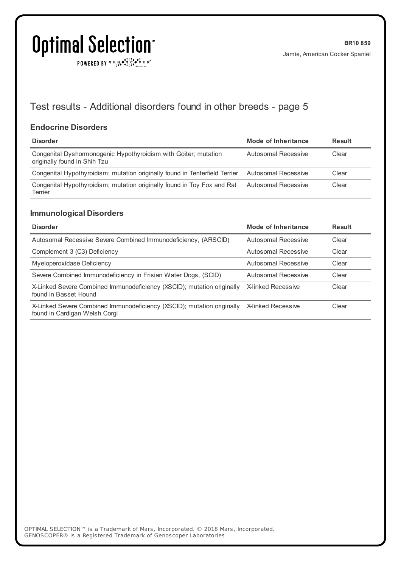POWERED BY  $G \in N_{\bullet} \bullet_{\bullet}^{\bullet}$ 

## Test results - Additional disorders found in other breeds - page 5

#### **Endocrine Disorders**

| <b>Disorder</b>                                                                                 | Mode of Inheritance | Result |
|-------------------------------------------------------------------------------------------------|---------------------|--------|
| Congenital Dyshormonogenic Hypothyroidism with Goiter; mutation<br>originally found in Shih Tzu | Autosomal Recessive | Clear  |
| Congenital Hypothyroidism; mutation originally found in Tenterfield Terrier Autosomal Recessive |                     | Clear  |
| Congenital Hypothyroidism; mutation originally found in Toy Fox and Rat<br>Terrier              | Autosomal Recessive | Clear  |

#### **Immunological Disorders**

| <b>Disorder</b>                                                                                         | Mode of Inheritance       | Result |
|---------------------------------------------------------------------------------------------------------|---------------------------|--------|
| Autosomal Recessive Severe Combined Immunodeficiency, (ARSCID)                                          | Autosomal Recessive       | Clear  |
| Complement 3 (C3) Deficiency                                                                            | Autosomal Recessive       | Clear  |
| Myeloperoxidase Deficiency                                                                              | Autosomal Recessive       | Clear  |
| Severe Combined Immunodeficiency in Frisian Water Dogs, (SCID)                                          | Autosomal Recessive       | Clear  |
| X-Linked Severe Combined Immunodeficiency (XSCID); mutation originally<br>found in Basset Hound         | X-linked Recessive        | Clear  |
| X-Linked Severe Combined Immunodeficiency (XSCID); mutation originally<br>found in Cardigan Welsh Corgi | <b>X-linked Recessive</b> | Clear  |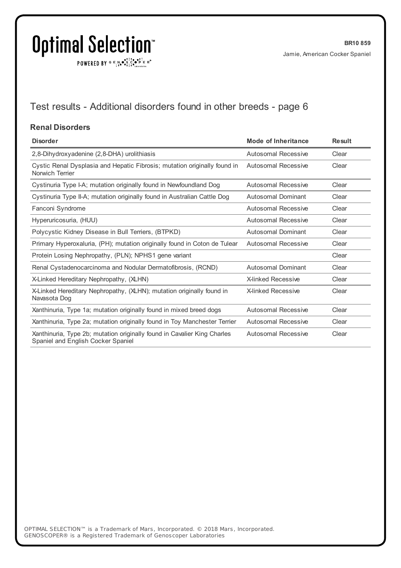$\texttt{POWERED BY} \xrightarrow{\mathbf{c}} \mathbb{I} \underset{\mathbf{a}}{\overset{\mathbf{r}}{\mathbf{a}}} \overset{\mathbf{r}}{\overset{\mathbf{r}}{\mathbf{s}}} \underset{\mathbf{a}}{\overset{\mathbf{r}}{\mathbf{a}}} \overset{\mathbf{r}}{\overset{\mathbf{r}}{\mathbf{s}}} \overset{\mathbf{r}}{\overset{\mathbf{r}}{\mathbf{s}}} \overset{\mathbf{r}}{\overset{\mathbf{r}}{\mathbf{s}}} \overset{\mathbf{r}}{\overset{\mathbf{r}}{\mathbf{s}}} \overset{\mathbf{r}}{\overset{\mathbf{r}}{\mathbf{s}}} \overset{\mathbf{r}}$ 

## Test results - Additional disorders found in other breeds - page 6

#### **Renal Disorders**

| <b>Disorder</b>                                                                                                | <b>Mode of Inheritance</b> | <b>Result</b> |
|----------------------------------------------------------------------------------------------------------------|----------------------------|---------------|
| 2,8-Dihydroxyadenine (2,8-DHA) urolithiasis                                                                    | Autosomal Recessive        | Clear         |
| Cystic Renal Dysplasia and Hepatic Fibrosis; mutation originally found in<br>Norwich Terrier                   | Autosomal Recessive        | Clear         |
| Cystinuria Type I-A; mutation originally found in Newfoundland Dog                                             | Autosomal Recessive        | Clear         |
| Cystinuria Type II-A; mutation originally found in Australian Cattle Dog                                       | <b>Autosomal Dominant</b>  | Clear         |
| Fanconi Syndrome                                                                                               | Autosomal Recessive        | Clear         |
| Hyperuricosuria, (HUU)                                                                                         | Autosomal Recessive        | Clear         |
| Polycystic Kidney Disease in Bull Terriers, (BTPKD)                                                            | <b>Autosomal Dominant</b>  | Clear         |
| Primary Hyperoxaluria, (PH); mutation originally found in Coton de Tulear                                      | Autosomal Recessive        | Clear         |
| Protein Losing Nephropathy, (PLN); NPHS1 gene variant                                                          |                            | Clear         |
| Renal Cystadenocarcinoma and Nodular Dermatofibrosis, (RCND)                                                   | Autosomal Dominant         | Clear         |
| X-Linked Hereditary Nephropathy, (XLHN)                                                                        | <b>X-linked Recessive</b>  | Clear         |
| X-Linked Hereditary Nephropathy, (XLHN); mutation originally found in<br>Navasota Dog                          | <b>X-linked Recessive</b>  | Clear         |
| Xanthinuria, Type 1a; mutation originally found in mixed breed dogs                                            | Autosomal Recessive        | Clear         |
| Xanthinuria, Type 2a; mutation originally found in Toy Manchester Terrier                                      | Autosomal Recessive        | Clear         |
| Xanthinuria, Type 2b; mutation originally found in Cavalier King Charles<br>Spaniel and English Cocker Spaniel | Autosomal Recessive        | Clear         |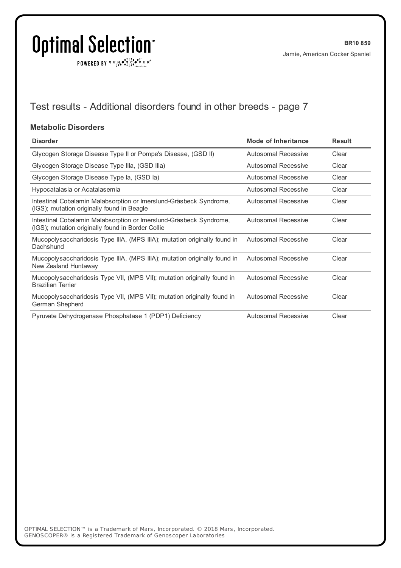$\texttt{POWERED BY} \xrightarrow{\mathbf{c}} \mathbb{I} \underset{\mathbf{a}}{\overset{\mathbf{r}}{\mathbf{a}}} \overset{\mathbf{r}}{\overset{\mathbf{r}}{\mathbf{s}}} \underset{\mathbf{a}}{\overset{\mathbf{r}}{\mathbf{a}}} \overset{\mathbf{r}}{\overset{\mathbf{r}}{\mathbf{s}}} \overset{\mathbf{r}}{\overset{\mathbf{r}}{\mathbf{s}}} \overset{\mathbf{r}}{\overset{\mathbf{r}}{\mathbf{s}}} \overset{\mathbf{r}}{\overset{\mathbf{r}}{\mathbf{s}}} \overset{\mathbf{r}}{\overset{\mathbf{r}}{\mathbf{s}}} \overset{\mathbf{r}}$ 

## Test results - Additional disorders found in other breeds - page 7

#### **Metabolic Disorders**

| <b>Disorder</b>                                                                                                         | <b>Mode of Inheritance</b> | <b>Result</b> |
|-------------------------------------------------------------------------------------------------------------------------|----------------------------|---------------|
| Glycogen Storage Disease Type II or Pompe's Disease, (GSD II)                                                           | <b>Autosomal Recessive</b> | Clear         |
| Glycogen Storage Disease Type IIIa, (GSD IIIa)                                                                          | Autosomal Recessive        | Clear         |
| Glycogen Storage Disease Type la, (GSD la)                                                                              | <b>Autosomal Recessive</b> | Clear         |
| Hypocatalasia or Acatalasemia                                                                                           | Autosomal Recessive        | Clear         |
| Intestinal Cobalamin Malabsorption or Imerslund-Gräsbeck Syndrome,<br>(IGS); mutation originally found in Beagle        | Autosomal Recessive        | Clear         |
| Intestinal Cobalamin Malabsorption or Imerslund-Gräsbeck Syndrome,<br>(IGS); mutation originally found in Border Collie | <b>Autosomal Recessive</b> | Clear         |
| Mucopolysaccharidosis Type IIIA, (MPS IIIA); mutation originally found in<br>Dachshund                                  | Autosomal Recessive        | Clear         |
| Mucopolysaccharidosis Type IIIA, (MPS IIIA); mutation originally found in<br>New Zealand Huntaway                       | Autosomal Recessive        | Clear         |
| Mucopolysaccharidosis Type VII, (MPS VII); mutation originally found in<br><b>Brazilian Terrier</b>                     | <b>Autosomal Recessive</b> | Clear         |
| Mucopolysaccharidosis Type VII, (MPS VII); mutation originally found in<br>German Shepherd                              | Autosomal Recessive        | Clear         |
| Pyruvate Dehydrogenase Phosphatase 1 (PDP1) Deficiency                                                                  | <b>Autosomal Recessive</b> | Clear         |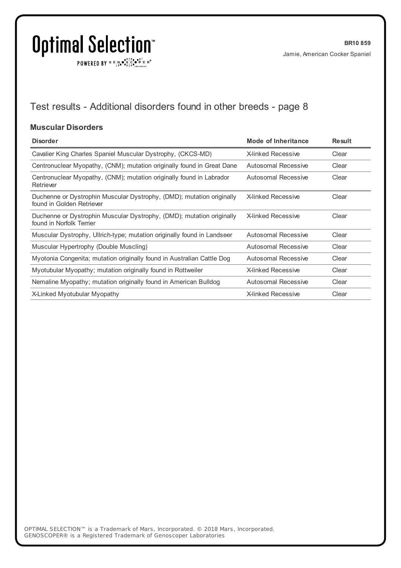$\texttt{POWERED BY} \xrightarrow{\mathbf{c}} \mathbb{I} \underset{\mathbf{a}}{\overset{\mathbf{r}}{\mathbf{a}}} \overset{\mathbf{r}}{\overset{\mathbf{r}}{\mathbf{s}}} \underset{\mathbf{a}}{\overset{\mathbf{r}}{\mathbf{a}}} \overset{\mathbf{r}}{\overset{\mathbf{r}}{\mathbf{s}}} \overset{\mathbf{r}}{\overset{\mathbf{r}}{\mathbf{s}}} \overset{\mathbf{r}}{\overset{\mathbf{r}}{\mathbf{s}}} \overset{\mathbf{r}}{\overset{\mathbf{r}}{\mathbf{s}}} \overset{\mathbf{r}}{\overset{\mathbf{r}}{\mathbf{s}}} \overset{\mathbf{r}}$ 

## Test results - Additional disorders found in other breeds - page 8

#### **Muscular Disorders**

| <b>Disorder</b>                                                                                    | Mode of Inheritance        | <b>Result</b> |
|----------------------------------------------------------------------------------------------------|----------------------------|---------------|
| Cavalier King Charles Spaniel Muscular Dystrophy, (CKCS-MD)                                        | <b>X-linked Recessive</b>  | Clear         |
| Centronuclear Myopathy, (CNM); mutation originally found in Great Dane                             | Autosomal Recessive        | Clear         |
| Centronuclear Myopathy, (CNM); mutation originally found in Labrador<br>Retriever                  | <b>Autosomal Recessive</b> | Clear         |
| Duchenne or Dystrophin Muscular Dystrophy, (DMD); mutation originally<br>found in Golden Retriever | <b>X-linked Recessive</b>  | Clear         |
| Duchenne or Dystrophin Muscular Dystrophy, (DMD); mutation originally<br>found in Norfolk Terrier  | <b>X-linked Recessive</b>  | Clear         |
| Muscular Dystrophy, Ullrich-type; mutation originally found in Landseer                            | Autosomal Recessive        | Clear         |
| Muscular Hypertrophy (Double Muscling)                                                             | Autosomal Recessive        | Clear         |
| Myotonia Congenita; mutation originally found in Australian Cattle Dog                             | Autosomal Recessive        | Clear         |
| Myotubular Myopathy; mutation originally found in Rottweiler                                       | <b>X-linked Recessive</b>  | Clear         |
| Nemaline Myopathy; mutation originally found in American Bulldog                                   | <b>Autosomal Recessive</b> | Clear         |
| X-Linked Myotubular Myopathy                                                                       | <b>X-linked Recessive</b>  | Clear         |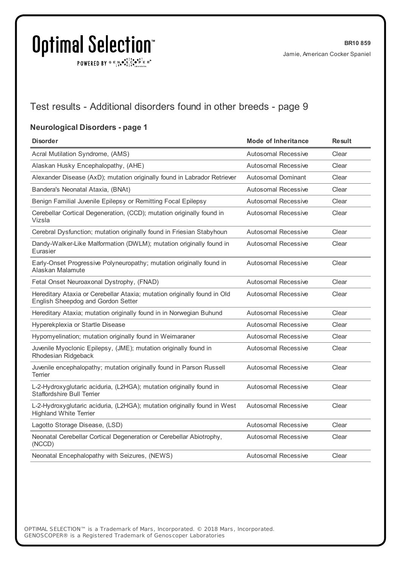POWERED BY  $G \in N_{\bullet} \bullet_{\bullet}^{\bullet}$ 

## Test results - Additional disorders found in other breeds - page 9

#### **Neurological Disorders - page 1**

| <b>Disorder</b>                                                                                                | <b>Mode of Inheritance</b> | <b>Result</b> |
|----------------------------------------------------------------------------------------------------------------|----------------------------|---------------|
| Acral Mutilation Syndrome, (AMS)                                                                               | Autosomal Recessive        | Clear         |
| Alaskan Husky Encephalopathy, (AHE)                                                                            | Autosomal Recessive        | Clear         |
| Alexander Disease (AxD); mutation originally found in Labrador Retriever                                       | Autosomal Dominant         | Clear         |
| Bandera's Neonatal Ataxia, (BNAt)                                                                              | <b>Autosomal Recessive</b> | Clear         |
| Benign Familial Juvenile Epilepsy or Remitting Focal Epilepsy                                                  | <b>Autosomal Recessive</b> | Clear         |
| Cerebellar Cortical Degeneration, (CCD); mutation originally found in<br>Vizsla                                | <b>Autosomal Recessive</b> | Clear         |
| Cerebral Dysfunction; mutation originally found in Friesian Stabyhoun                                          | Autosomal Recessive        | Clear         |
| Dandy-Walker-Like Malformation (DWLM); mutation originally found in<br>Eurasier                                | Autosomal Recessive        | Clear         |
| Early-Onset Progressive Polyneuropathy; mutation originally found in<br>Alaskan Malamute                       | <b>Autosomal Recessive</b> | Clear         |
| Fetal Onset Neuroaxonal Dystrophy, (FNAD)                                                                      | Autosomal Recessive        | Clear         |
| Hereditary Ataxia or Cerebellar Ataxia; mutation originally found in Old<br>English Sheepdog and Gordon Setter | Autosomal Recessive        | Clear         |
| Hereditary Ataxia; mutation originally found in in Norwegian Buhund                                            | Autosomal Recessive        | Clear         |
| Hyperekplexia or Startle Disease                                                                               | <b>Autosomal Recessive</b> | Clear         |
| Hypomyelination; mutation originally found in Weimaraner                                                       | Autosomal Recessive        | Clear         |
| Juvenile Myoclonic Epilepsy, (JME); mutation originally found in<br>Rhodesian Ridgeback                        | <b>Autosomal Recessive</b> | Clear         |
| Juvenile encephalopathy; mutation originally found in Parson Russell<br>Terrier                                | <b>Autosomal Recessive</b> | Clear         |
| L-2-Hydroxyglutaric aciduria, (L2HGA); mutation originally found in<br><b>Staffordshire Bull Terrier</b>       | <b>Autosomal Recessive</b> | Clear         |
| L-2-Hydroxyglutaric aciduria, (L2HGA); mutation originally found in West<br><b>Highland White Terrier</b>      | <b>Autosomal Recessive</b> | Clear         |
| Lagotto Storage Disease, (LSD)                                                                                 | Autosomal Recessive        | Clear         |
| Neonatal Cerebellar Cortical Degeneration or Cerebellar Abiotrophy,<br>(NCCD)                                  | <b>Autosomal Recessive</b> | Clear         |
| Neonatal Encephalopathy with Seizures, (NEWS)                                                                  | Autosomal Recessive        | Clear         |
|                                                                                                                |                            |               |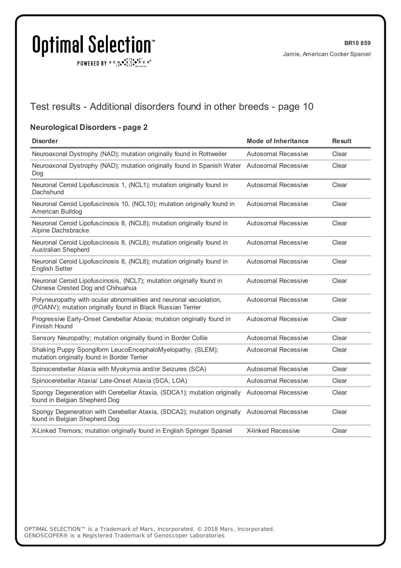$\texttt{POWERED BY} \xrightarrow{\mathbf{c}} \mathbb{I} \underset{\mathbf{a}}{\overset{\mathbf{r}}{\mathbf{a}}} \overset{\mathbf{r}}{\overset{\mathbf{r}}{\mathbf{s}}} \underset{\mathbf{a}}{\overset{\mathbf{r}}{\mathbf{a}}} \overset{\mathbf{r}}{\overset{\mathbf{r}}{\mathbf{s}}} \overset{\mathbf{r}}{\overset{\mathbf{r}}{\mathbf{s}}} \overset{\mathbf{r}}{\overset{\mathbf{r}}{\mathbf{s}}} \overset{\mathbf{r}}{\overset{\mathbf{r}}{\mathbf{s}}} \overset{\mathbf{r}}{\overset{\mathbf{r}}{\mathbf{s}}} \overset{\mathbf{r}}$ 

## Test results - Additional disorders found in other breeds - page 10

#### **Neurological Disorders - page 2**

| <b>Disorder</b>                                                                                                                   | <b>Mode of Inheritance</b> | <b>Result</b> |
|-----------------------------------------------------------------------------------------------------------------------------------|----------------------------|---------------|
| Neuroaxonal Dystrophy (NAD); mutation originally found in Rottweiler                                                              | Autosomal Recessive        | Clear         |
| Neuroaxonal Dystrophy (NAD); mutation originally found in Spanish Water Autosomal Recessive<br>Dog                                |                            | Clear         |
| Neuronal Ceroid Lipofuscinosis 1, (NCL1); mutation originally found in<br>Dachshund                                               | Autosomal Recessive        | Clear         |
| Neuronal Ceroid Lipofuscinosis 10, (NCL10); mutation originally found in<br>American Bulldog                                      | <b>Autosomal Recessive</b> | Clear         |
| Neuronal Ceroid Lipofuscinosis 8, (NCL8); mutation originally found in<br>Alpine Dachsbracke                                      | <b>Autosomal Recessive</b> | Clear         |
| Neuronal Ceroid Lipofuscinosis 8, (NCL8); mutation originally found in<br><b>Australian Shepherd</b>                              | Autosomal Recessive        | Clear         |
| Neuronal Ceroid Lipofuscinosis 8, (NCL8); mutation originally found in<br><b>English Setter</b>                                   | <b>Autosomal Recessive</b> | Clear         |
| Neuronal Ceroid Lipofuscinosis, (NCL7); mutation originally found in<br>Chinese Crested Dog and Chihuahua                         | <b>Autosomal Recessive</b> | Clear         |
| Polyneuropathy with ocular abnormalities and neuronal vacuolation,<br>(POANV); mutation originally found in Black Russian Terrier | <b>Autosomal Recessive</b> | Clear         |
| Progressive Early-Onset Cerebellar Ataxia; mutation originally found in<br>Finnish Hound                                          | <b>Autosomal Recessive</b> | Clear         |
| Sensory Neuropathy; mutation originally found in Border Collie                                                                    | Autosomal Recessive        | Clear         |
| Shaking Puppy Spongiform LeucoEncephaloMyelopathy, (SLEM);<br>mutation originally found in Border Terrier                         | <b>Autosomal Recessive</b> | Clear         |
| Spinocerebellar Ataxia with Myokymia and/or Seizures (SCA)                                                                        | <b>Autosomal Recessive</b> | Clear         |
| Spinocerebellar Ataxia/ Late-Onset Ataxia (SCA, LOA)                                                                              | <b>Autosomal Recessive</b> | Clear         |
| Spongy Degeneration with Cerebellar Ataxia, (SDCA1); mutation originally Autosomal Recessive<br>found in Belgian Shepherd Dog     |                            | Clear         |
| Spongy Degeneration with Cerebellar Ataxia, (SDCA2); mutation originally<br>found in Belgian Shepherd Dog                         | <b>Autosomal Recessive</b> | Clear         |
| X-Linked Tremors; mutation originally found in English Springer Spaniel                                                           | <b>X-linked Recessive</b>  | Clear         |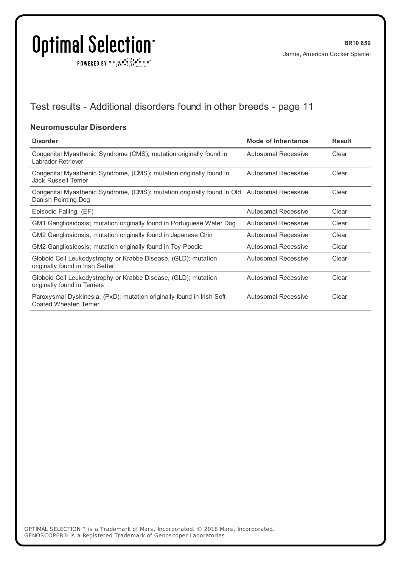$\texttt{POWERED BY} \xrightarrow{\mathbf{c}} \mathbb{I} \underset{\mathbf{a}}{\overset{\mathbf{r}}{\mathbf{a}}} \overset{\mathbf{r}}{\overset{\mathbf{r}}{\mathbf{s}}} \underset{\mathbf{a}}{\overset{\mathbf{r}}{\mathbf{a}}} \overset{\mathbf{r}}{\overset{\mathbf{r}}{\mathbf{s}}} \overset{\mathbf{r}}{\overset{\mathbf{r}}{\mathbf{s}}} \overset{\mathbf{r}}{\overset{\mathbf{r}}{\mathbf{s}}} \overset{\mathbf{r}}{\overset{\mathbf{r}}{\mathbf{s}}} \overset{\mathbf{r}}{\overset{\mathbf{r}}{\mathbf{s}}} \overset{\mathbf{r}}$ 

## Test results - Additional disorders found in other breeds - page 11

#### **Neuromuscular Disorders**

| <b>Disorder</b>                                                                                                    | Mode of Inheritance        | <b>Result</b> |
|--------------------------------------------------------------------------------------------------------------------|----------------------------|---------------|
| Congenital Myasthenic Syndrome (CMS); mutation originally found in<br>Labrador Retriever                           | Autosomal Recessive        | Clear         |
| Congenital Myasthenic Syndrome, (CMS); mutation originally found in<br>Jack Russell Terrier                        | Autosomal Recessive        | Clear         |
| Congenital Myasthenic Syndrome, (CMS); mutation originally found in Old Autosomal Recessive<br>Danish Pointing Dog |                            | Clear         |
| Episodic Falling, (EF)                                                                                             | Autosomal Recessive        | Clear         |
| GM1 Gangliosidosis; mutation originally found in Portuguese Water Dog                                              | Autosomal Recessive        | Clear         |
| GM2 Gangliosidosis, mutation originally found in Japanese Chin                                                     | <b>Autosomal Recessive</b> | Clear         |
| GM2 Gangliosidosis; mutation originally found in Toy Poodle                                                        | Autosomal Recessive        | Clear         |
| Globoid Cell Leukodystrophy or Krabbe Disease, (GLD); mutation<br>originally found in Irish Setter                 | <b>Autosomal Recessive</b> | Clear         |
| Globoid Cell Leukodystrophy or Krabbe Disease, (GLD); mutation<br>originally found in Terriers                     | <b>Autosomal Recessive</b> | Clear         |
| Paroxysmal Dyskinesia, (PxD); mutation originally found in Irish Soft<br>Coated Wheaten Terrier                    | <b>Autosomal Recessive</b> | Clear         |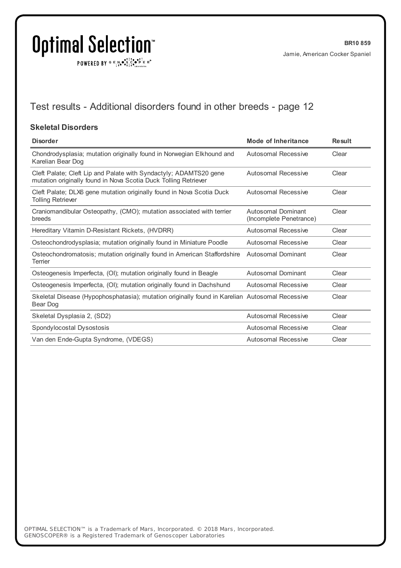$\texttt{POWERED BY} \xrightarrow{\mathbf{c}} \mathbb{I} \underset{\mathbf{a}}{\overset{\mathbf{r}}{\mathbf{a}}} \overset{\mathbf{r}}{\overset{\mathbf{r}}{\mathbf{s}}} \underset{\mathbf{a}}{\overset{\mathbf{r}}{\mathbf{a}}} \overset{\mathbf{r}}{\overset{\mathbf{r}}{\mathbf{s}}} \overset{\mathbf{r}}{\overset{\mathbf{r}}{\mathbf{s}}} \overset{\mathbf{r}}{\overset{\mathbf{r}}{\mathbf{s}}} \overset{\mathbf{r}}{\overset{\mathbf{r}}{\mathbf{s}}} \overset{\mathbf{r}}{\overset{\mathbf{r}}{\mathbf{s}}} \overset{\mathbf{r}}$ 

## Test results - Additional disorders found in other breeds - page 12

#### **Skeletal Disorders**

| <b>Disorder</b>                                                                                                                      | Mode of Inheritance                           | <b>Result</b> |
|--------------------------------------------------------------------------------------------------------------------------------------|-----------------------------------------------|---------------|
| Chondrodysplasia; mutation originally found in Norwegian Elkhound and<br>Karelian Bear Dog                                           | Autosomal Recessive                           | Clear         |
| Cleft Palate; Cleft Lip and Palate with Syndactyly; ADAMTS20 gene<br>mutation originally found in Nova Scotia Duck Tolling Retriever | <b>Autosomal Recessive</b>                    | Clear         |
| Cleft Palate; DLX6 gene mutation originally found in Nova Scotia Duck<br><b>Tolling Retriever</b>                                    | Autosomal Recessive                           | Clear         |
| Craniomandibular Osteopathy, (CMO); mutation associated with terrier<br>breeds                                                       | Autosomal Dominant<br>(Incomplete Penetrance) | Clear         |
| Hereditary Vitamin D-Resistant Rickets, (HVDRR)                                                                                      | Autosomal Recessive                           | Clear         |
| Osteochondrodysplasia; mutation originally found in Miniature Poodle                                                                 | Autosomal Recessive                           | Clear         |
| Osteochondromatosis; mutation originally found in American Staffordshire<br>Terrier                                                  | Autosomal Dominant                            | Clear         |
| Osteogenesis Imperfecta, (OI); mutation originally found in Beagle                                                                   | <b>Autosomal Dominant</b>                     | Clear         |
| Osteogenesis Imperfecta, (OI); mutation originally found in Dachshund                                                                | Autosomal Recessive                           | Clear         |
| Skeletal Disease (Hypophosphatasia); mutation originally found in Karelian Autosomal Recessive<br>Bear Dog                           |                                               | Clear         |
| Skeletal Dysplasia 2, (SD2)                                                                                                          | Autosomal Recessive                           | Clear         |
| Spondylocostal Dysostosis                                                                                                            | Autosomal Recessive                           | Clear         |
| Van den Ende-Gupta Syndrome, (VDEGS)                                                                                                 | Autosomal Recessive                           | Clear         |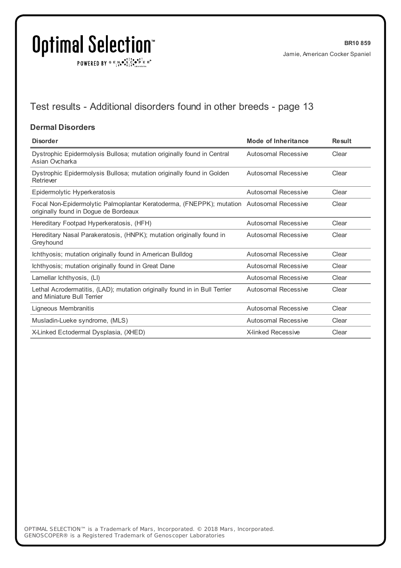$\texttt{POWERED BY} \xrightarrow{\mathbf{c}} \mathbb{I} \underset{\mathbf{a}}{\overset{\mathbf{r}}{\mathbf{a}}} \overset{\mathbf{r}}{\overset{\mathbf{r}}{\mathbf{s}}} \underset{\mathbf{a}}{\overset{\mathbf{r}}{\mathbf{a}}} \overset{\mathbf{r}}{\overset{\mathbf{r}}{\mathbf{s}}} \overset{\mathbf{r}}{\overset{\mathbf{r}}{\mathbf{s}}} \overset{\mathbf{r}}{\overset{\mathbf{r}}{\mathbf{s}}} \overset{\mathbf{r}}{\overset{\mathbf{r}}{\mathbf{s}}} \overset{\mathbf{r}}{\overset{\mathbf{r}}{\mathbf{s}}} \overset{\mathbf{r}}$ 

## Test results - Additional disorders found in other breeds - page 13

#### **Dermal Disorders**

| <b>Disorder</b>                                                                                                                   | <b>Mode of Inheritance</b> | <b>Result</b> |
|-----------------------------------------------------------------------------------------------------------------------------------|----------------------------|---------------|
| Dystrophic Epidermolysis Bullosa; mutation originally found in Central<br>Asian Ovcharka                                          | Autosomal Recessive        | Clear         |
| Dystrophic Epidermolysis Bullosa; mutation originally found in Golden<br>Retriever                                                | Autosomal Recessive        | Clear         |
| Epidermolytic Hyperkeratosis                                                                                                      | Autosomal Recessive        | Clear         |
| Focal Non-Epidermolytic Palmoplantar Keratoderma, (FNEPPK); mutation Autosomal Recessive<br>originally found in Dogue de Bordeaux |                            | Clear         |
| Hereditary Footpad Hyperkeratosis, (HFH)                                                                                          | Autosomal Recessive        | Clear         |
| Hereditary Nasal Parakeratosis, (HNPK); mutation originally found in<br>Greyhound                                                 | Autosomal Recessive        | Clear         |
| Ichthyosis; mutation originally found in American Bulldog                                                                         | Autosomal Recessive        | Clear         |
| Ichthyosis; mutation originally found in Great Dane                                                                               | Autosomal Recessive        | Clear         |
| Lamellar Ichthyosis, (LI)                                                                                                         | Autosomal Recessive        | Clear         |
| Lethal Acrodermatitis, (LAD); mutation originally found in in Bull Terrier<br>and Miniature Bull Terrier                          | Autosomal Recessive        | Clear         |
| Ligneous Membranitis                                                                                                              | Autosomal Recessive        | Clear         |
| Musladin-Lueke syndrome, (MLS)                                                                                                    | Autosomal Recessive        | Clear         |
| X-Linked Ectodermal Dysplasia, (XHED)                                                                                             | <b>X-linked Recessive</b>  | Clear         |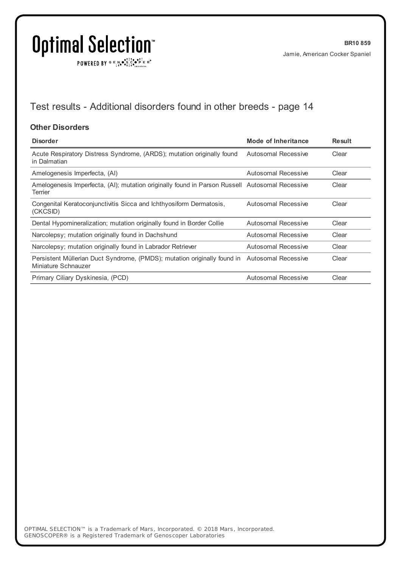$\texttt{POWERED BY} \xrightarrow{\mathbf{c}} \mathbb{I} \underset{\mathbf{a}}{\mathbf{a}} \bullet \underset{\mathbf{a}}{\mathbf{a}} \underset{\mathbf{b}}{\mathbf{a}} \circ \underset{\mathbf{b}}{\mathbf{b}} \overset{\mathbf{c}}{\mathbf{b}} \underset{\mathbf{b}}{\mathbf{b}} \circ \underset{\mathbf{c}}{\mathbf{b}} \overset{\mathbf{c}}{\mathbf{b}} \mathbf{c}} \mathbf{c}^{\circ}$ 

## Test results - Additional disorders found in other breeds - page 14

#### **Other Disorders**

| <b>Disorder</b>                                                                                                     | Mode of Inheritance | <b>Result</b> |
|---------------------------------------------------------------------------------------------------------------------|---------------------|---------------|
| Acute Respiratory Distress Syndrome, (ARDS); mutation originally found<br>in Dalmatian                              | Autosomal Recessive | Clear         |
| Amelogenesis Imperfecta, (AI)                                                                                       | Autosomal Recessive | Clear         |
| Amelogenesis Imperfecta, (AI); mutation originally found in Parson Russell Autosomal Recessive<br>Terrier           |                     | Clear         |
| Congenital Keratoconjunctivitis Sicca and Ichthyosiform Dermatosis,<br>(CKCSID)                                     | Autosomal Recessive | Clear         |
| Dental Hypomineralization; mutation originally found in Border Collie                                               | Autosomal Recessive | Clear         |
| Narcolepsy; mutation originally found in Dachshund                                                                  | Autosomal Recessive | Clear         |
| Narcolepsy; mutation originally found in Labrador Retriever                                                         | Autosomal Recessive | Clear         |
| Persistent Müllerian Duct Syndrome, (PMDS); mutation originally found in Autosomal Recessive<br>Miniature Schnauzer |                     | Clear         |
| Primary Ciliary Dyskinesia, (PCD)                                                                                   | Autosomal Recessive | Clear         |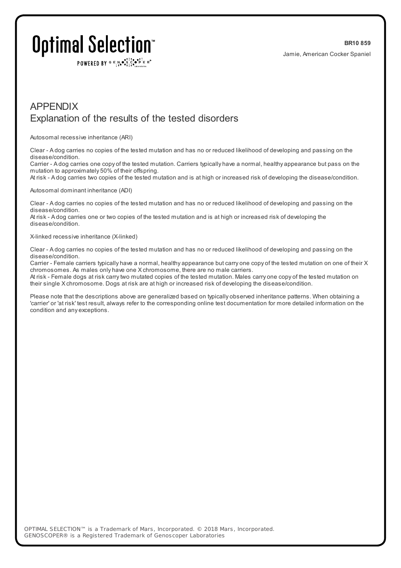POWERED BY  $G \in N$ .  $\mathbb{R}$ ,  $\mathbb{R}$ ,  $\mathbb{R}$ ,  $\mathbb{R}$   $\mathbb{R}$  is  $\mathbb{R}$ 

### APPENDIX Explanation of the results of the tested disorders

Autosomal recessive inheritance (ARI)

Clear - A dog carries no copies of the tested mutation and has no or reduced likelihood of developing and passing on the disease/condition.

Carrier - A dog carries one copy of the tested mutation. Carriers typically have a normal, healthy appearance but pass on the mutation to approximately 50% of their offspring.

At risk - A dog carries two copies of the tested mutation and is at high or increased risk of developing the disease/condition.

#### Autosomal dominant inheritance (ADI)

Clear - A dog carries no copies of the tested mutation and has no or reduced likelihood of developing and passing on the disease/condition.

At risk - A dog carries one or two copies of the tested mutation and is at high or increased risk of developing the disease/condition.

#### X-linked recessive inheritance (X-linked)

Clear - A dog carries no copies of the tested mutation and has no or reduced likelihood of developing and passing on the disease/condition.

Carrier - Female carriers typically have a normal, healthy appearance but carry one copy of the tested mutation on one of their X chromosomes. As males only have one X chromosome, there are no male carriers.

At risk - Female dogs at risk carrytwo mutated copies of the tested mutation. Males carry one copy of the tested mutation on their single X chromosome. Dogs at risk are at high or increased risk of developing the disease/condition.

Please note that the descriptions above are generalized based on typically observed inheritance patterns. When obtaining a 'carrier' or 'at risk' test result, always refer to the corresponding online test documentation for more detailed information on the condition and any exceptions.